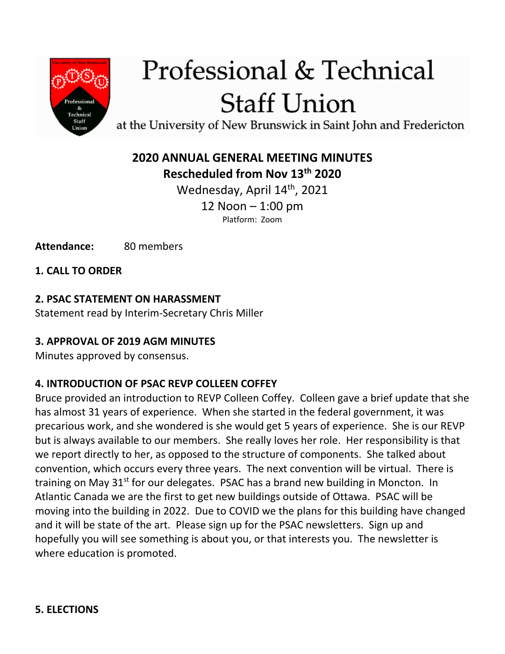

# Professional & Technical **Staff Union**

at the University of New Brunswick in Saint John and Fredericton

# **2020 ANNUAL GENERAL MEETING MINUTES Rescheduled from Nov 13th 2020**

Wednesday, April 14<sup>th</sup>, 2021 12 Noon – 1:00 pm Platform: Zoom

Attendance: 80 members

**1. CALL TO ORDER**

#### **2. PSAC STATEMENT ON HARASSMENT**

Statement read by Interim-Secretary Chris Miller

#### **3. APPROVAL OF 2019 AGM MINUTES**

Minutes approved by consensus.

#### **4. INTRODUCTION OF PSAC REVP COLLEEN COFFEY**

Bruce provided an introduction to REVP Colleen Coffey. Colleen gave a brief update that she has almost 31 years of experience. When she started in the federal government, it was precarious work, and she wondered is she would get 5 years of experience. She is our REVP but is always available to our members. She really loves her role. Her responsibility is that we report directly to her, as opposed to the structure of components. She talked about convention, which occurs every three years. The next convention will be virtual. There is training on May  $31<sup>st</sup>$  for our delegates. PSAC has a brand new building in Moncton. In Atlantic Canada we are the first to get new buildings outside of Ottawa. PSAC will be moving into the building in 2022. Due to COVID we the plans for this building have changed and it will be state of the art. Please sign up for the PSAC newsletters. Sign up and hopefully you will see something is about you, or that interests you. The newsletter is where education is promoted.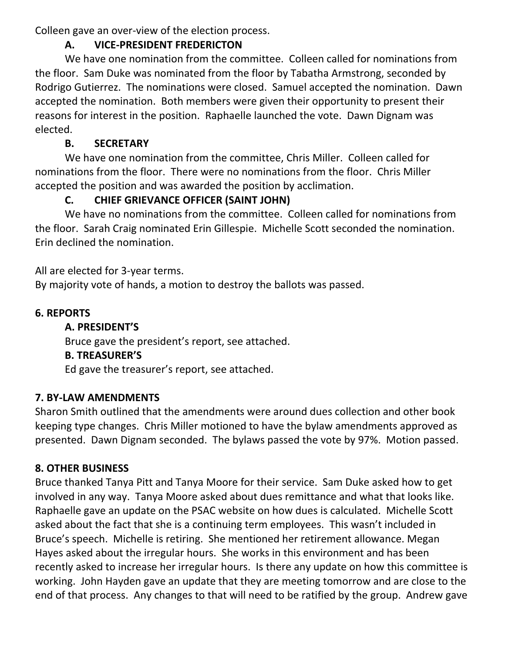Colleen gave an over-view of the election process.

#### **A. VICE-PRESIDENT FREDERICTON**

We have one nomination from the committee. Colleen called for nominations from the floor. Sam Duke was nominated from the floor by Tabatha Armstrong, seconded by Rodrigo Gutierrez. The nominations were closed. Samuel accepted the nomination. Dawn accepted the nomination. Both members were given their opportunity to present their reasons for interest in the position. Raphaelle launched the vote. Dawn Dignam was elected.

## **B. SECRETARY**

We have one nomination from the committee, Chris Miller. Colleen called for nominations from the floor. There were no nominations from the floor. Chris Miller accepted the position and was awarded the position by acclimation.

# **C. CHIEF GRIEVANCE OFFICER (SAINT JOHN)**

We have no nominations from the committee. Colleen called for nominations from the floor. Sarah Craig nominated Erin Gillespie. Michelle Scott seconded the nomination. Erin declined the nomination.

All are elected for 3-year terms.

By majority vote of hands, a motion to destroy the ballots was passed.

# **6. REPORTS**

#### **A. PRESIDENT'S**

Bruce gave the president's report, see attached.

#### **B. TREASURER'S**

Ed gave the treasurer's report, see attached.

# **7. BY-LAW AMENDMENTS**

Sharon Smith outlined that the amendments were around dues collection and other book keeping type changes. Chris Miller motioned to have the bylaw amendments approved as presented. Dawn Dignam seconded. The bylaws passed the vote by 97%. Motion passed.

# **8. OTHER BUSINESS**

Bruce thanked Tanya Pitt and Tanya Moore for their service. Sam Duke asked how to get involved in any way. Tanya Moore asked about dues remittance and what that looks like. Raphaelle gave an update on the PSAC website on how dues is calculated. Michelle Scott asked about the fact that she is a continuing term employees. This wasn't included in Bruce's speech. Michelle is retiring. She mentioned her retirement allowance. Megan Hayes asked about the irregular hours. She works in this environment and has been recently asked to increase her irregular hours. Is there any update on how this committee is working. John Hayden gave an update that they are meeting tomorrow and are close to the end of that process. Any changes to that will need to be ratified by the group. Andrew gave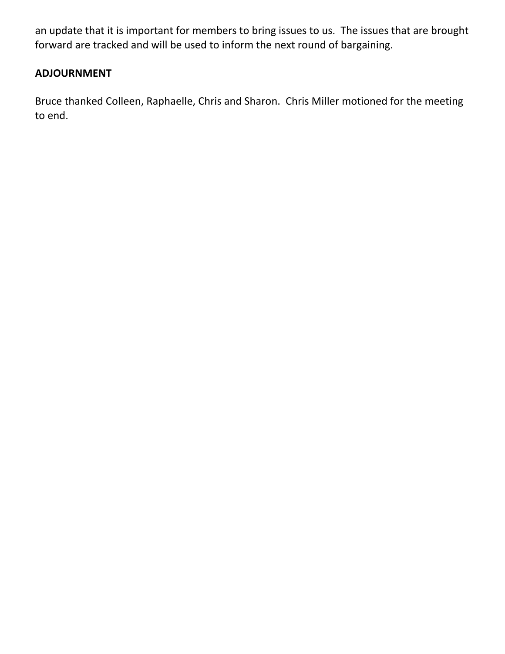an update that it is important for members to bring issues to us. The issues that are brought forward are tracked and will be used to inform the next round of bargaining.

#### **ADJOURNMENT**

Bruce thanked Colleen, Raphaelle, Chris and Sharon. Chris Miller motioned for the meeting to end.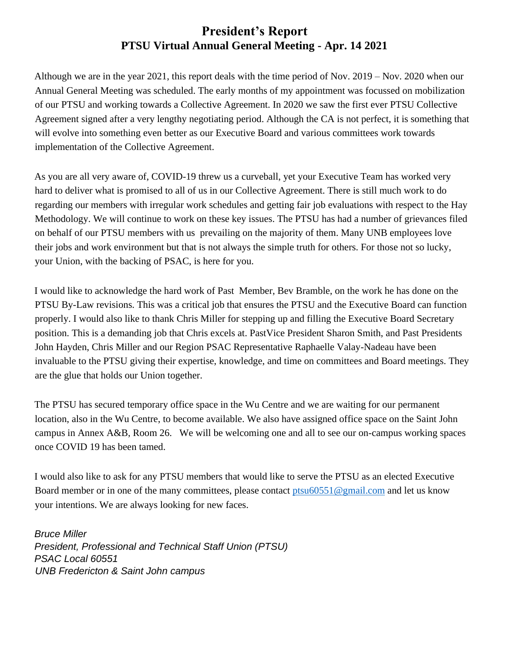## **President's Report PTSU Virtual Annual General Meeting - Apr. 14 2021**

Although we are in the year 2021, this report deals with the time period of Nov. 2019 – Nov. 2020 when our Annual General Meeting was scheduled. The early months of my appointment was focussed on mobilization of our PTSU and working towards a Collective Agreement. In 2020 we saw the first ever PTSU Collective Agreement signed after a very lengthy negotiating period. Although the CA is not perfect, it is something that will evolve into something even better as our Executive Board and various committees work towards implementation of the Collective Agreement.

As you are all very aware of, COVID-19 threw us a curveball, yet your Executive Team has worked very hard to deliver what is promised to all of us in our Collective Agreement. There is still much work to do regarding our members with irregular work schedules and getting fair job evaluations with respect to the Hay Methodology. We will continue to work on these key issues. The PTSU has had a number of grievances filed on behalf of our PTSU members with us prevailing on the majority of them. Many UNB employees love their jobs and work environment but that is not always the simple truth for others. For those not so lucky, your Union, with the backing of PSAC, is here for you.

I would like to acknowledge the hard work of Past Member, Bev Bramble, on the work he has done on the PTSU By-Law revisions. This was a critical job that ensures the PTSU and the Executive Board can function properly. I would also like to thank Chris Miller for stepping up and filling the Executive Board Secretary position. This is a demanding job that Chris excels at. PastVice President Sharon Smith, and Past Presidents John Hayden, Chris Miller and our Region PSAC Representative Raphaelle Valay-Nadeau have been invaluable to the PTSU giving their expertise, knowledge, and time on committees and Board meetings. They are the glue that holds our Union together.

The PTSU has secured temporary office space in the Wu Centre and we are waiting for our permanent location, also in the Wu Centre, to become available. We also have assigned office space on the Saint John campus in Annex A&B, Room 26. We will be welcoming one and all to see our on-campus working spaces once COVID 19 has been tamed.

I would also like to ask for any PTSU members that would like to serve the PTSU as an elected Executive Board member or in one of the many committees, please contact [ptsu60551@gmail.com](mailto:ptsu60551@gmail.com) and let us know your intentions. We are always looking for new faces.

*Bruce Miller President, Professional and Technical Staff Union (PTSU) PSAC Local 60551 UNB Fredericton & Saint John campus*